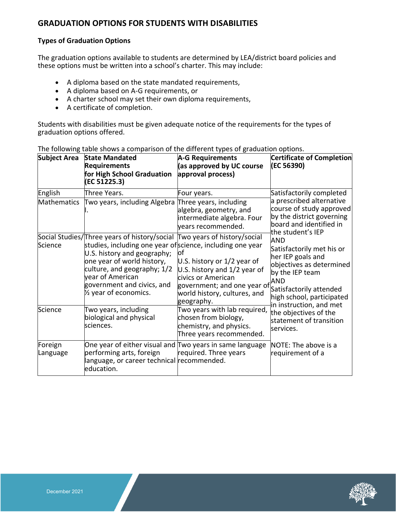# **GRADUATION OPTIONS FOR STUDENTS WITH DISABILITIES**

## **Types of Graduation Options**

The graduation options available to students are determined by LEA/district board policies and these options must be written into a school's charter. This may include:

- A diploma based on the state mandated requirements,
- A diploma based on A-G requirements, or
- A charter school may set their own diploma requirements,
- A certificate of completion.

Students with disabilities must be given adequate notice of the requirements for the types of graduation options offered.

| <b>Subject Area</b> | <b>State Mandated</b><br><b>Requirements</b><br>for High School Graduation<br>(EC 51225.3)                                                                                                                                                                                                                                 | <b>A-G Requirements</b><br>(as approved by UC course<br>approval process)                                                                                             | Certificate of Completion<br>(EC 56390)                                                                                                                                                                                                                                                                                                                                                                                                        |
|---------------------|----------------------------------------------------------------------------------------------------------------------------------------------------------------------------------------------------------------------------------------------------------------------------------------------------------------------------|-----------------------------------------------------------------------------------------------------------------------------------------------------------------------|------------------------------------------------------------------------------------------------------------------------------------------------------------------------------------------------------------------------------------------------------------------------------------------------------------------------------------------------------------------------------------------------------------------------------------------------|
| English             | Three Years.                                                                                                                                                                                                                                                                                                               | Four years.                                                                                                                                                           | Satisfactorily completed<br>a prescribed alternative<br>course of study approved<br>by the district governing<br>board and identified in<br>the student's IEP<br><b>AND</b><br>Satisfactorily met his or<br>her IEP goals and<br>objectives as determined<br>by the IEP team<br><b>AND</b><br>Satisfactorily attended<br>high school, participated<br>in instruction, and met<br>the objectives of the<br>statement of transition<br>services. |
| Mathematics         | Two years, including Algebra Three years, including                                                                                                                                                                                                                                                                        | algebra, geometry, and<br>intermediate algebra. Four<br>years recommended.                                                                                            |                                                                                                                                                                                                                                                                                                                                                                                                                                                |
| Science             | Social Studies/Three years of history/social Two years of history/social<br>studies, including one year of science, including one year<br>U.S. history and geography;<br>one year of world history,<br>culture, and geography; 1/2<br>year of American<br>government and civics, and<br>1/ <sub>2</sub> year of economics. | lot<br>U.S. history or 1/2 year of<br>U.S. history and 1/2 year of<br>civics or American<br>government; and one year of<br>world history, cultures, and<br>geography. |                                                                                                                                                                                                                                                                                                                                                                                                                                                |
| Science             | Two years, including<br>biological and physical<br>lsciences.                                                                                                                                                                                                                                                              | Two years with lab required,<br>chosen from biology,<br>chemistry, and physics.<br>Three years recommended.                                                           |                                                                                                                                                                                                                                                                                                                                                                                                                                                |
| Foreign<br>Language | One year of either visual and Two years in same language<br>performing arts, foreign<br>language, or career technical recommended.<br>education.                                                                                                                                                                           | required. Three years                                                                                                                                                 | NOTE: The above is a<br>requirement of a                                                                                                                                                                                                                                                                                                                                                                                                       |

The following table shows a comparison of the different types of graduation options.

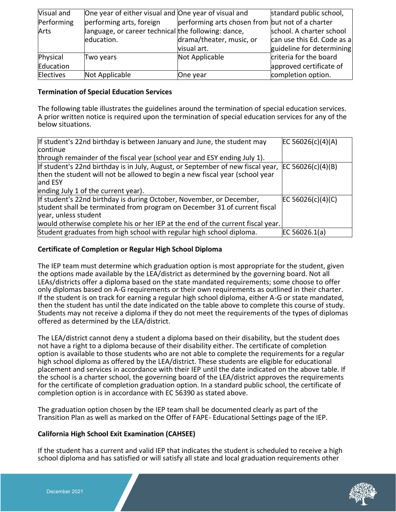| Visual and | One year of either visual and One year of visual and |                                                  | standard public school,    |
|------------|------------------------------------------------------|--------------------------------------------------|----------------------------|
| Performing | performing arts, foreign                             | performing arts chosen from but not of a charter |                            |
| Arts       | language, or career technical the following: dance,  |                                                  | school. A charter school   |
|            | education.                                           | drama/theater, music, or                         | can use this Ed. Code as a |
|            |                                                      | visual art.                                      | guideline for determining  |
| Physical   | Two years                                            | Not Applicable                                   | criteria for the board     |
| Education  |                                                      |                                                  | approved certificate of    |
| Electives  | Not Applicable                                       | One year                                         | completion option.         |

#### **Termination of Special Education Services**

The following table illustrates the guidelines around the termination of special education services. A prior written notice is required upon the termination of special education services for any of the below situations.

| If student's 22nd birthday is between January and June, the student may<br>continue                                                                                                            | EC 56026(c)(4)(A) |
|------------------------------------------------------------------------------------------------------------------------------------------------------------------------------------------------|-------------------|
| through remainder of the fiscal year (school year and ESY ending July 1).                                                                                                                      |                   |
| If student's 22nd birthday is in July, August, or September of new fiscal year, $EC 56026(c)(4)(B)$<br>then the student will not be allowed to begin a new fiscal year (school year<br>and ESY |                   |
| ending July 1 of the current year).                                                                                                                                                            |                   |
| If student's 22nd birthday is during October, November, or December,<br>student shall be terminated from program on December 31 of current fiscal<br>year, unless student                      | EC 56026(c)(4)(C) |
| would otherwise complete his or her IEP at the end of the current fiscal year.                                                                                                                 |                   |
| Student graduates from high school with regular high school diploma.                                                                                                                           | EC 56026.1(a)     |

## **Certificate of Completion or Regular High School Diploma**

The IEP team must determine which graduation option is most appropriate for the student, given the options made available by the LEA/district as determined by the governing board. Not all LEAs/districts offer a diploma based on the state mandated requirements; some choose to offer only diplomas based on A-G requirements or their own requirements as outlined in their charter. If the student is on track for earning a regular high school diploma, either A-G or state mandated, then the student has until the date indicated on the table above to complete this course of study. Students may not receive a diploma if they do not meet the requirements of the types of diplomas offered as determined by the LEA/district.

The LEA/district cannot deny a student a diploma based on their disability, but the student does not have a right to a diploma because of their disability either. The certificate of completion option is available to those students who are not able to complete the requirements for a regular high school diploma as offered by the LEA/district. These students are eligible for educational placement and services in accordance with their IEP until the date indicated on the above table. If the school is a charter school, the governing board of the LEA/district approves the requirements for the certificate of completion graduation option. In a standard public school, the certificate of completion option is in accordance with EC 56390 as stated above.

The graduation option chosen by the IEP team shall be documented clearly as part of the Transition Plan as well as marked on the Offer of FAPE- Educational Settings page of the IEP.

#### **California High School Exit Examination (CAHSEE)**

If the student has a current and valid IEP that indicates the student is scheduled to receive a high school diploma and has satisfied or will satisfy all state and local graduation requirements other